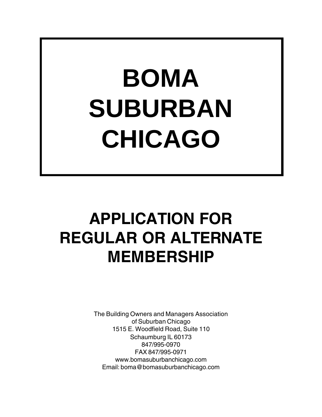## **BOMA SUBURBAN CHICAGO**

## **APPLICATION FOR REGULAR OR ALTERNATE MEMBERSHIP**

The Building Owners and Managers Association of Suburban Chicago 1515 E. Woodfield Road, Suite 110 Schaumburg IL 60173 847/995-0970 FAX 847/995-0971 www.bomasuburbanchicago.com Email: boma@bomasuburbanchicago.com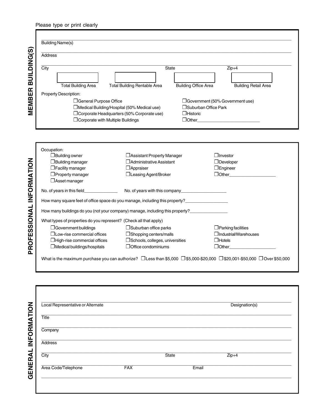| Please type or print clearly |  |  |
|------------------------------|--|--|
|                              |  |  |

| <b>Address</b>                                                    |                                                                               |                                                                                                                                                |
|-------------------------------------------------------------------|-------------------------------------------------------------------------------|------------------------------------------------------------------------------------------------------------------------------------------------|
|                                                                   |                                                                               |                                                                                                                                                |
| City                                                              | State                                                                         | $Zip+4$                                                                                                                                        |
|                                                                   |                                                                               |                                                                                                                                                |
| <b>Total Building Area</b>                                        | <b>Building Office Area</b><br><b>Total Building Rentable Area</b>            | <b>Building Retail Area</b>                                                                                                                    |
| Property Description:                                             |                                                                               |                                                                                                                                                |
| <b>J</b> General Purpose Office                                   |                                                                               | O Government (50% Government use)                                                                                                              |
|                                                                   | □ Medical Building/Hospital (50% Medical use)                                 | <b>J</b> Suburban Office Park                                                                                                                  |
|                                                                   | O Corporate Headquarters (50% Corporate use)<br>$\Box$ Historic               |                                                                                                                                                |
| O Corporate with Multiple Buildings                               |                                                                               |                                                                                                                                                |
|                                                                   |                                                                               |                                                                                                                                                |
| Occupation:<br>$\Box$ Building owner                              | <b>J</b> Assistant Property Manager                                           | $\Box$ Investor                                                                                                                                |
| $\Box$ Building manager                                           | Administrative Assistant                                                      | Developer                                                                                                                                      |
| $\Box$ Facility manager                                           | <b>Appraiser</b>                                                              | $\Box$ Engineer                                                                                                                                |
| $\Box$ Property manager                                           | <b>J</b> Leasing Agent/Broker                                                 |                                                                                                                                                |
| $\square$ Asset manager                                           |                                                                               |                                                                                                                                                |
|                                                                   |                                                                               |                                                                                                                                                |
|                                                                   | How many square feet of office space do you manage, including this property?  |                                                                                                                                                |
|                                                                   | How many buildings do you (not your company) manage, including this property? |                                                                                                                                                |
| What types of properties do you represent? (Check all that apply) |                                                                               |                                                                                                                                                |
| $\Box$ Government buildings                                       | Suburban office parks                                                         | $\Box$ Parking facilities                                                                                                                      |
| $\Box$ Low-rise commercial offices                                | $\Box$ Shopping centers/malls                                                 | $\Box$ Industrial/Warehouses                                                                                                                   |
| $\Box$ High-rise commercial offices                               | Schools, colleges, universities                                               | $\Box$ Hotels                                                                                                                                  |
| Medical buildings/hospitals                                       | $\Box$ Office condominiums                                                    |                                                                                                                                                |
|                                                                   |                                                                               | What is the maximum purchase you can authorize? $\Box$ Less than \$5,000 $\Box$ \$5,000-\$20,000 $\Box$ \$20,001-\$50,000 $\Box$ Over \$50,000 |
|                                                                   |                                                                               |                                                                                                                                                |
|                                                                   |                                                                               |                                                                                                                                                |
|                                                                   |                                                                               |                                                                                                                                                |
|                                                                   |                                                                               | Designation(s)                                                                                                                                 |
| Local Representative or Alternate                                 |                                                                               |                                                                                                                                                |
| Title                                                             |                                                                               |                                                                                                                                                |
| Company                                                           |                                                                               |                                                                                                                                                |
| <b>Address</b>                                                    |                                                                               |                                                                                                                                                |
| City                                                              | <b>State</b>                                                                  | $Zip+4$                                                                                                                                        |

**PROFESSIONAL INFORMATI** 

GENERAL INFORMATION

| How many buildings do you (not your company) manage, including this property? |                                        |                                                                                                                                                |
|-------------------------------------------------------------------------------|----------------------------------------|------------------------------------------------------------------------------------------------------------------------------------------------|
| What types of properties do you represent? (Check all that apply)             |                                        |                                                                                                                                                |
| $\Box$ Government buildings                                                   | $\Box$ Suburban office parks           | $\Box$ Parking facilities                                                                                                                      |
| $\Box$ Low-rise commercial offices                                            | $\Box$ Shopping centers/malls          | $\Box$ Industrial/Warehouses                                                                                                                   |
| $\Box$ High-rise commercial offices                                           | $\Box$ Schools, colleges, universities | $\Box$ Hotels                                                                                                                                  |
| $\Box$ Medical buildings/hospitals                                            | $\Box$ Office condominiums             | $\Box$ Other                                                                                                                                   |
|                                                                               |                                        | What is the maximum purchase you can authorize? $\Box$ Less than \$5,000 $\Box$ \$5,000-\$20,000 $\Box$ \$20,001-\$50,000 $\Box$ Over \$50,000 |
|                                                                               |                                        |                                                                                                                                                |
|                                                                               |                                        |                                                                                                                                                |

| Local Representative or Alternate |            |       | Designation(s) |  |
|-----------------------------------|------------|-------|----------------|--|
| Title                             |            |       |                |  |
| Company                           |            |       |                |  |
| <b>Address</b>                    |            |       |                |  |
| City                              |            | State | $Zip+4$        |  |
| Area Code/Telephone               | <b>FAX</b> | Email |                |  |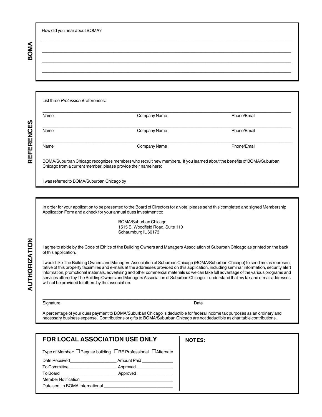|  | How did you hear about BOMA? |  |  |
|--|------------------------------|--|--|
|--|------------------------------|--|--|

**BOMA** 

**REFERENCES** 

| Name | Company Name | Phone/Email |
|------|--------------|-------------|
| Name | Company Name | Phone/Email |
| Name | Company Name | Phone/Email |

\_\_\_\_\_\_\_\_\_\_\_\_\_\_\_\_\_\_\_\_\_\_\_\_\_\_\_\_\_\_\_\_\_\_\_\_\_\_\_\_\_\_\_\_\_\_\_\_\_\_\_\_\_\_\_\_\_\_\_\_\_\_\_\_\_\_\_\_\_\_\_\_\_\_\_\_\_\_\_\_\_\_\_\_\_\_\_\_\_\_\_\_\_\_\_\_\_\_\_\_\_\_\_\_\_\_\_\_ \_\_\_\_\_\_\_\_\_\_\_\_\_\_\_\_\_\_\_\_\_\_\_\_\_\_\_\_\_\_\_\_\_\_\_\_\_\_\_\_\_\_\_\_\_\_\_\_\_\_\_\_\_\_\_\_\_\_\_\_\_\_\_\_\_\_\_\_\_\_\_\_\_\_\_\_\_\_\_\_\_\_\_\_\_\_\_\_\_\_\_\_\_\_\_\_\_\_\_\_\_\_\_\_\_\_\_\_ \_\_\_\_\_\_\_\_\_\_\_\_\_\_\_\_\_\_\_\_\_\_\_\_\_\_\_\_\_\_\_\_\_\_\_\_\_\_\_\_\_\_\_\_\_\_\_\_\_\_\_\_\_\_\_\_\_\_\_\_\_\_\_\_\_\_\_\_\_\_\_\_\_\_\_\_\_\_\_\_\_\_\_\_\_\_\_\_\_\_\_\_\_\_\_\_\_\_\_\_\_\_\_\_\_\_\_\_ \_\_\_\_\_\_\_\_\_\_\_\_\_\_\_\_\_\_\_\_\_\_\_\_\_\_\_\_\_\_\_\_\_\_\_\_\_\_\_\_\_\_\_\_\_\_\_\_\_\_\_\_\_\_\_\_\_\_\_\_\_\_\_\_\_\_\_\_\_\_\_\_\_\_\_\_\_\_\_\_\_\_\_\_\_\_\_\_\_\_\_\_\_\_\_\_\_\_\_\_\_\_\_\_\_\_\_\_

I was referred to BOMA/Suburban Chicago by

In order for your application to be presented to the Board of Directors for a vote, please send this completed and signed Membership Application Form and a check for your annual dues investment to:

> BOMA/Suburban Chicago 1515 E. Woodfield Road, Suite 110 Schaumburg IL 60173

I agree to abide by the Code of Ethics of the Building Owners and Managers Association of Suburban Chicago as printed on the back of this application.

I would like The Building Owners and Managers Association of Suburban Chicago (BOMA/Suburban Chicago) to send me as representative of this property facsimiles and e-mails at the addresses provided on this application, including seminar information, security alert information, promotional materials, advertising and other commercial materials so we can take full advantage of the various programs and services offered by The Building Owners and Managers Association of Suburban Chicago. I understand that my fax and e-mail addresses will not be provided to others by the association.

\_\_\_\_\_\_\_\_\_\_\_\_\_\_\_\_\_\_\_\_\_\_\_\_\_\_\_\_\_\_\_\_\_\_\_\_\_\_\_\_\_\_\_\_\_\_\_\_\_\_\_\_\_\_\_\_\_\_\_\_\_\_\_\_\_\_\_\_\_\_\_\_\_\_\_\_\_\_\_\_\_\_\_\_\_\_\_\_\_\_\_\_\_\_\_\_\_\_\_\_\_\_\_\_\_\_\_

Signature Date Date of the Contract of the Contract of the Contract of the Date Date Date

A percentage of your dues payment to BOMA/Suburban Chicago is deductible for federal income tax purposes as an ordinary and necessary business expense. Contributions or gifts to BOMA/Suburban Chicago are not deductible as charitable contributions.

| <b>FOR LOCAL ASSOCIATION USE ONLY</b>                                                                                                                                                                                               |                                                                                                                                                                                                                               | <b>NOTES:</b> |
|-------------------------------------------------------------------------------------------------------------------------------------------------------------------------------------------------------------------------------------|-------------------------------------------------------------------------------------------------------------------------------------------------------------------------------------------------------------------------------|---------------|
|                                                                                                                                                                                                                                     | Type of Member: □ Regular building □ RE Professional □ Alternate                                                                                                                                                              |               |
| Date Received <b>Example 20</b>                                                                                                                                                                                                     | Amount Paid                                                                                                                                                                                                                   |               |
| To Committee <b>All Accounts</b>                                                                                                                                                                                                    | Approved <b>Approved</b>                                                                                                                                                                                                      |               |
| To Board <b>Example 20</b> Second 1 and 20 Second 1 and 20 Second 1 and 20 Second 1 and 20 Second 1 and 20 Second 1 and 20 Second 1 and 20 Second 1 and 20 Second 1 and 20 Second 1 and 20 Second 1 and 20 Second 1 and 20 Second 1 | Approved                                                                                                                                                                                                                      |               |
| Member Notification <b>Example 2018</b>                                                                                                                                                                                             |                                                                                                                                                                                                                               |               |
|                                                                                                                                                                                                                                     | Date sent to BOMA International product of the sense of the sense of the sense of the sense of the sense of the sense of the sense of the sense of the sense of the sense of the sense of the sense of the sense of the sense |               |
|                                                                                                                                                                                                                                     |                                                                                                                                                                                                                               |               |

**AUTHORIZATION REFERENCES BOMAAUTHORIZATION**